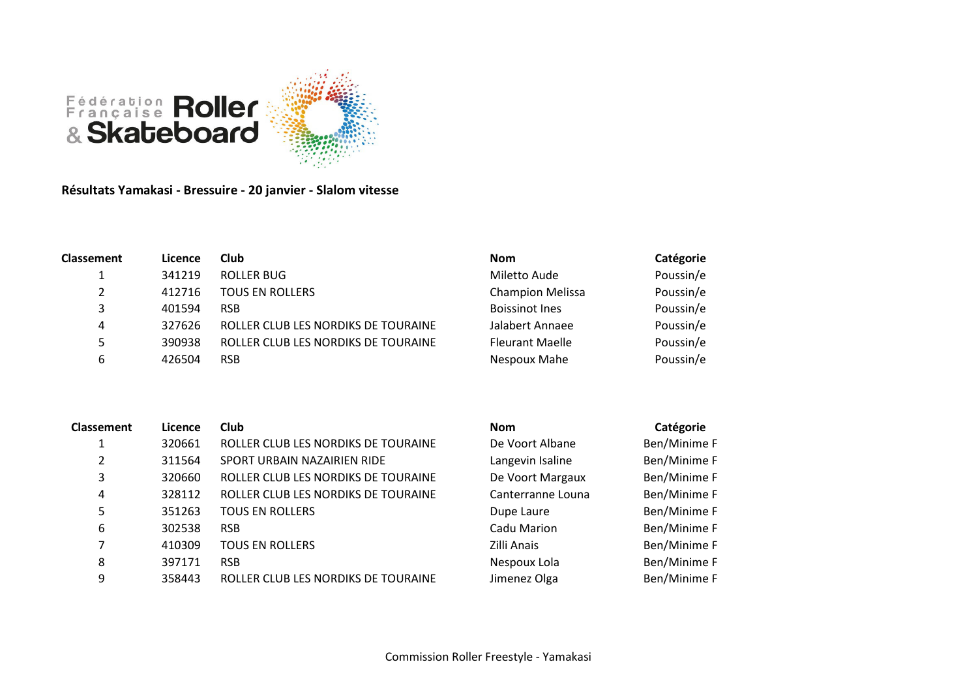

Résultats Yamakasi - Bressuire - 20 janvier - Slalom vitesse

| <b>Classement</b> | Licence | Club                                | <b>Nom</b>              | Catégorie |
|-------------------|---------|-------------------------------------|-------------------------|-----------|
| ᅩ                 | 341219  | ROLLER BUG                          | Miletto Aude            | Poussin/e |
| 2                 | 412716  | <b>TOUS EN ROLLERS</b>              | <b>Champion Melissa</b> | Poussin/e |
| 3                 | 401594  | <b>RSB</b>                          | <b>Boissinot Ines</b>   | Poussin/e |
| 4                 | 327626  | ROLLER CLUB LES NORDIKS DE TOURAINE | Jalabert Annaee         | Poussin/e |
| 5                 | 390938  | ROLLER CLUB LES NORDIKS DE TOURAINE | <b>Fleurant Maelle</b>  | Poussin/e |
| 6                 | 426504  | <b>RSB</b>                          | Nespoux Mahe            | Poussin/e |

| <b>Classement</b> | Licence | Club                                | <b>Nom</b>        | Catégorie    |
|-------------------|---------|-------------------------------------|-------------------|--------------|
|                   | 320661  | ROLLER CLUB LES NORDIKS DE TOURAINE | De Voort Albane   | Ben/Minime F |
| $\overline{2}$    | 311564  | SPORT URBAIN NAZAIRIEN RIDE         | Langevin Isaline  | Ben/Minime F |
| 3                 | 320660  | ROLLER CLUB LES NORDIKS DE TOURAINE | De Voort Margaux  | Ben/Minime F |
| 4                 | 328112  | ROLLER CLUB LES NORDIKS DE TOURAINE | Canterranne Louna | Ben/Minime F |
| 5                 | 351263  | <b>TOUS EN ROLLERS</b>              | Dupe Laure        | Ben/Minime F |
| 6                 | 302538  | <b>RSB</b>                          | Cadu Marion       | Ben/Minime F |
|                   | 410309  | <b>TOUS EN ROLLERS</b>              | Zilli Anais       | Ben/Minime F |
| 8                 | 397171  | <b>RSB</b>                          | Nespoux Lola      | Ben/Minime F |
| 9                 | 358443  | ROLLER CLUB LES NORDIKS DE TOURAINE | Jimenez Olga      | Ben/Minime F |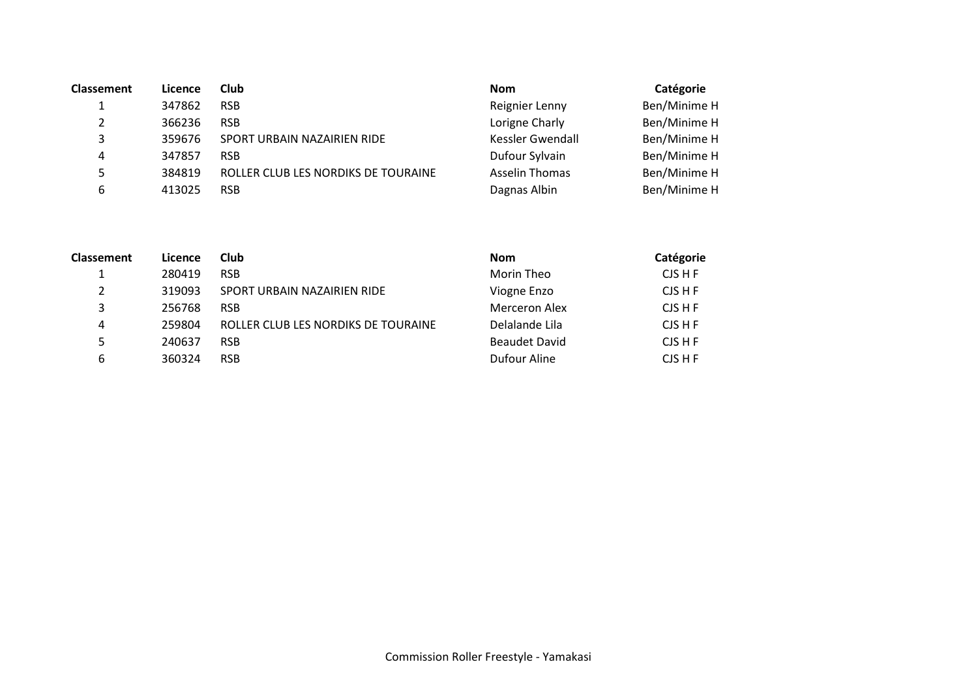| <b>Classement</b> | Licence | Club                                | <b>Nom</b>            | Catégorie    |
|-------------------|---------|-------------------------------------|-----------------------|--------------|
|                   | 347862  | <b>RSB</b>                          | Reignier Lenny        | Ben/Minime H |
|                   | 366236  | <b>RSB</b>                          | Lorigne Charly        | Ben/Minime H |
| 3                 | 359676  | SPORT URBAIN NAZAIRIEN RIDE         | Kessler Gwendall      | Ben/Minime H |
| 4                 | 347857  | <b>RSB</b>                          | Dufour Sylvain        | Ben/Minime H |
| 5.                | 384819  | ROLLER CLUB LES NORDIKS DE TOURAINE | <b>Asselin Thomas</b> | Ben/Minime H |
| 6                 | 413025  | <b>RSB</b>                          | Dagnas Albin          | Ben/Minime H |

| <b>Classement</b> | Licence | Club                                | <b>Nom</b>           | Catégorie |
|-------------------|---------|-------------------------------------|----------------------|-----------|
|                   | 280419  | <b>RSB</b>                          | Morin Theo           | CJS H F   |
|                   | 319093  | SPORT URBAIN NAZAIRIEN RIDE         | Viogne Enzo          | CJS H F   |
| 3                 | 256768  | <b>RSB</b>                          | Merceron Alex        | CJS H F   |
| 4                 | 259804  | ROLLER CLUB LES NORDIKS DE TOURAINE | Delalande Lila       | CJS H F   |
|                   | 240637  | <b>RSB</b>                          | <b>Beaudet David</b> | CJS H F   |
| 6                 | 360324  | <b>RSB</b>                          | Dufour Aline         | CJS H F   |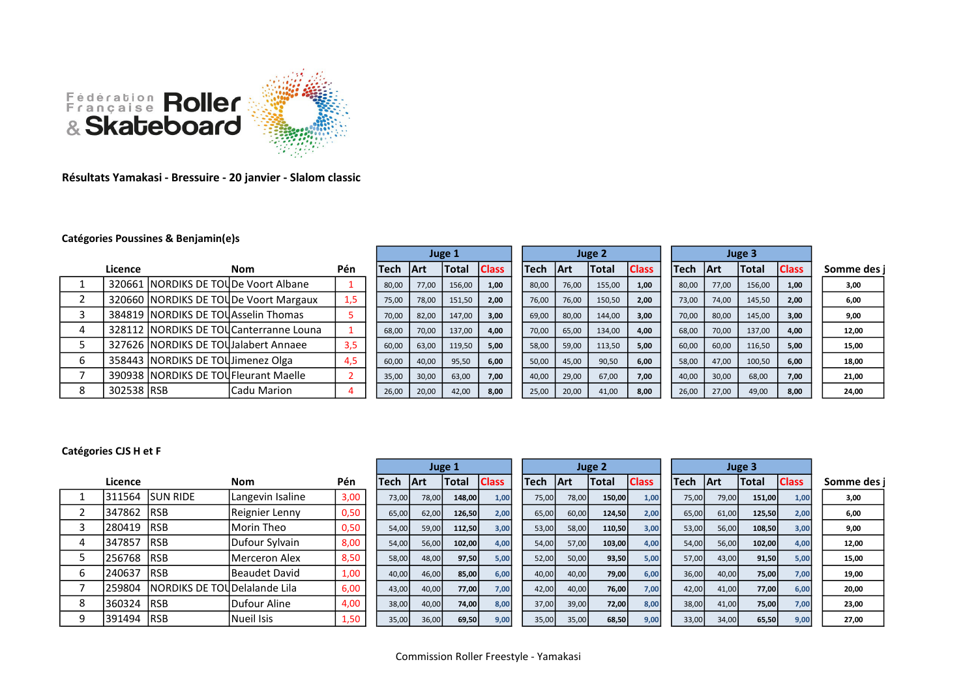

## Résultats Yamakasi - Bressuire - 20 janvier - Slalom classic

## Catégories Poussines & Benjamin(e)s

|            |                                       |                                         |     |       |       | Juge 2       |              |        |       |             | Juge 3       |              |        |             |              |              |           |
|------------|---------------------------------------|-----------------------------------------|-----|-------|-------|--------------|--------------|--------|-------|-------------|--------------|--------------|--------|-------------|--------------|--------------|-----------|
| Licence    |                                       | <b>Nom</b>                              | Pén | Tech  | l Art | <b>Total</b> | <b>Class</b> | lTech. |       | <b>IArt</b> | <b>Total</b> | <b>Class</b> | lTech. | <b>IArt</b> | <b>Total</b> | <b>Class</b> | Somme des |
|            |                                       | 320661   NORDIKS DE TOUDe Voort Albane  |     | 80,00 | 77,00 | 156,00       | 1,00         | 80,00  |       | 76,00       | 155,00       | 1,00         | 80,00  | 77,00       | 156,00       | 1,00         | 3,00      |
|            |                                       | 320660 NORDIKS DE TOUDe Voort Margaux   | 1.5 | 75,00 | 78,00 | 151,50       | 2.00         |        | 76,00 | 76,00       | 150,50       | 2.00         | 73,00  | 74,00       | 145,50       | 2.00         | 6,00      |
|            | 384819 NORDIKS DE TOU Asselin Thomas  |                                         |     | 70,00 | 82,00 | 147,00       | 3,00         | 69,00  |       | 80,00       | 144,00       | 3,00         | 70,00  | 80,00       | 145,00       | 3,00         | 9,00      |
|            |                                       | 328112 INORDIKS DE TOUCanterranne Louna |     | 68,00 | 70,00 | 137,00       | 4.00         | 70,00  |       | 65,00       | 134,00       | 4,00         | 68,00  | 70,00       | 137,00       | 4,00         | 12,00     |
|            |                                       | 327626 INORDIKS DE TOUJalabert Annaee   | 3,5 | 60,00 | 63,00 | 119,50       | 5,00         | 58,00  |       | 59,00       | 113,50       | 5,00         | 60,00  | 60,00       | 116,50       | 5.00         | 15,00     |
|            | 358443 NORDIKS DE TOUJImenez Olga     |                                         | 4,5 | 60,00 | 40,00 | 95,50        | 6,00         | 50,00  |       | 45,00       | 90,50        | 6,00         | 58,00  | 47,00       | 100,50       | 6,00         | 18,00     |
|            | 390938 INORDIKS DE TOUFleurant Maelle |                                         |     | 35,00 | 30,00 | 63,00        | 7.00         | 40,00  |       | 29,00       | 67,00        | 7,00         | 40,00  | 30,00       | 68,00        | 7.00         | 21,00     |
| 302538 RSB |                                       | Cadu Marion                             |     | 26,00 | 20,00 | 42,00        | 8,00         | 25,00  |       | 20,00       | 41,00        | 8,00         | 26,00  | 27,00       | 49,00        | 8,00         | 24,00     |

## Catégories CJS H et F

|   |            |                                      |                       |      |             | Juge 1      |        |              |             | Juge 2 |            |              |              | Juge 3 |             |            |              |              |             |
|---|------------|--------------------------------------|-----------------------|------|-------------|-------------|--------|--------------|-------------|--------|------------|--------------|--------------|--------|-------------|------------|--------------|--------------|-------------|
|   | Licence    |                                      | <b>Nom</b>            | Pén  | <b>Tech</b> | <b>IArt</b> | Total  | <b>Class</b> | <b>Tech</b> |        | <b>Art</b> | <b>Total</b> | <b>Class</b> |        | <b>Tech</b> | <b>Art</b> | <b>Total</b> | <b>Class</b> | Somme des i |
|   |            | l311564 ISUN RIDE                    | Langevin Isaline      | 3,00 | 73,00       | 78,00       | 148,00 | 1,00         |             | 75,00  | 78,00      | 150,00       | 1,00         |        | 75,00       | 79,00      | 151,00       | 1,00         | 3,00        |
|   | 347862     | <b>IRSB</b>                          | Reignier Lenny        | 0,50 | 65,00       | 62,00       | 126,50 | 2,00         |             | 65,00  | 60,00      | 124,50       | 2,00         |        | 65,00       | 61,00      | 125,50       | 2,00         | 6,00        |
|   | 280419     | <b>IRSB</b>                          | Morin Theo            | 0,50 | 54,00       | 59,00       | 112,50 | 3,00         |             | 53,00  | 58,00      | 110,50       | 3,00         |        | 53,00       | 56,00      | 108,50       | 3,00         | 9,00        |
|   | 347857     | <b>IRSB</b>                          | Dufour Sylvain        | 8,00 | 54,00       | 56,00       | 102,00 | 4,00         |             | 54,00  | 57,00      | 103,00       | 4,00         |        | 54,00       | 56,00      | 102,00       | 4,00         | 12,00       |
|   | 256768 RSB |                                      | <b>IMerceron Alex</b> | 8,50 | 58,00       | 48,00       | 97,50  | 5,00         |             | 52,00  | 50,00      | 93,50        | 5,00         |        | 57,00       | 43,00      | 91,50        | 5,00         | 15,00       |
| b | 240637     | <b>IRSB</b>                          | lBeaudet David        | 1,00 | 40,00       | 46,00       | 85,00  | 6,00         |             | 40,00  | 40,00      | 79,00        | 6,00         |        | 36,00       | 40,00      | 75,00        | 7,00         | 19,00       |
|   | 259804     | <b>INORDIKS DE TOUDelalande Lila</b> |                       | 6,00 | 43,00       | 40,00       | 77,00  | 7,00         |             | 42,00  | 40,00      | 76,00        | 7,00         |        | 42,00       | 41,00      | 77,00        | 6,00         | 20,00       |
| 8 | 360324     | <b>IRSB</b>                          | Dufour Aline          | 4,00 | 38,00       | 40,00       | 74,00  | 8,00         |             | 37,00  | 39,00      | 72,00        | 8,00         |        | 38,00       | 41,00      | 75,00        | 7,00         | 23,00       |
| q | 391494 RSB |                                      | Nueil Isis            | 1,50 | 35,00       | 36,00       | 69,50  | 9,00         |             | 35,00  | 35,00      | 68,50        | 9,00         |        | 33,00       | 34,00      | 65,50        | 9,00         | 27,00       |

Commission Roller Freestyle - Yamakasi